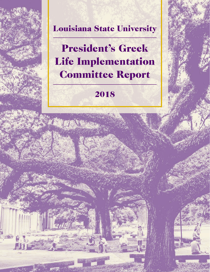## Louisiana State University

President's Greek Life Implementation Committee Report

## 2018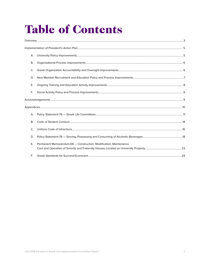# **Table of Contents**

| А.        |                                                                    |  |
|-----------|--------------------------------------------------------------------|--|
| B.        |                                                                    |  |
| C.        |                                                                    |  |
| D.        |                                                                    |  |
| Ε.        |                                                                    |  |
| F.        |                                                                    |  |
|           |                                                                    |  |
|           |                                                                    |  |
| А.        |                                                                    |  |
| <b>B.</b> |                                                                    |  |
| C.        |                                                                    |  |
| D.        |                                                                    |  |
| Ε.        | Permanent Memorandum-68 - Construction, Modification, Maintenance, |  |
| E.        |                                                                    |  |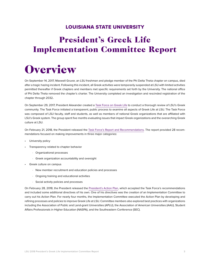### LOUISIANA STATE UNIVERSITY

## <span id="page-2-0"></span>President's Greek Life Implementation Committee Report

## **Overview**

On September 14, 2017, Maxwell Gruver, an LSU freshman and pledge member of the Phi Delta Theta chapter on campus, died after a tragic hazing incident. Following this incident, all Greek activities were temporarily suspended at LSU with limited activities permitted thereafter if Greek chapters and members met specific requirements set forth by the University. The national office of Phi Delta Theta removed the chapter's charter. The University completed an investigation and rescinded registration of the chapter through 2032.

On September 29, 2017, President Alexander created a [Task Force on Greek Life](http://www.lsu.edu/greek-life-taskforce/index.php) to conduct a thorough review of LSU's Greek community. The Task Force initiated a transparent, public process to examine all aspects of Greek Life at LSU. The Task Force was composed of LSU faculty, staff and students, as well as members of national Greek organizations that are affiliated with LSU's Greek system. The group spent five months evaluating issues that impact Greek organizations and the overarching Greek culture at LSU.

On February 21, 2018, the President released the [Task Force's Report and Recommendations.](http://www.lsu.edu/greek-life-taskforce/files/2017-2018-final-report.pdf) The report provided 28 recommendations focused on making improvements in three major categories:

- University policy
- Transparency related to chapter behavior
	- ⋅ Organizational processes
	- ⋅ Greek organization accountability and oversight
- Greek culture on campus
	- ⋅ New member recruitment and education policies and processes
	- ⋅ Ongoing training and educational activities
	- ⋅ Social activity policies and processes

On February 28, 2018, the President released the [President's Action Plan](https://www.lsu.edu/greek-life-taskforce/index.php), which accepted the Task Force's recommendations and included some additional directives of his own. One of his directives was the creation of an Implementation Committee to carry out his Action Plan. For nearly four months, the Implementation Committee executed the Action Plan by developing and refining processes and policies to improve Greek Life at LSU. Committee members also explored best practices with organizations including the Association of Public and Land-grant Universities (APLU), the Association of American Universities (AAU), Student Affairs Professionals in Higher Education (NASPA), and the Southeastern Conference (SEC).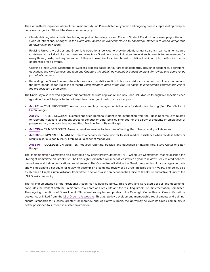The Committee's implementation of the President's Action Plan initiated a dynamic and ongoing process representing comprehensive change for LSU and the Greek community by:

- Clearly defining what constitutes hazing as part of the newly revised Code of Student Conduct and developing a Uniform Code of Infractions. *Changes to the Code also include an Amnesty clause to encourage students to report dangerous behavior such as hazing.*
- Revising University policies and Greek Life operational policies to provide additional transparency, ban common-source containers and all alcohol except beer and wine from Greek functions, limit attendance at social events to one member for every three guests, and require trained, full-time house directors hired based on defined minimum job qualifications to be on premises for all events.
- Creating a new Greek Standards for Success process based on four areas of standards, including: academics, operations, education, and civic/campus engagement. *Chapters will submit new member education plans for review and approval as part of this process.*
- Rebuilding the Greek Life website with a new accountability section to house a history of chapter disciplinary matters and the new Standards for Success scorecard. *Each chapter's page at the site will house its membership contract and link to the organization's drug policy.*

The University also received significant support from the state Legislature and Gov. John Bel Edwards through five specific pieces of legislation that will help us better address the challenge of hazing on our campus:

- **• [Act 481](https://www.legis.la.gov/legis/BillInfo.aspx?i=233348)** CIVIL PROCEDURE: Authorizes exemplary damages in civil actions for death from hazing (Sen. Dan Claitor of Baton Rouge)
- **• [Act 512](http://www.legis.la.gov/Legis/BillInfo.aspx?s=18RS&b=HB270&sbi=y)** PUBLIC RECORDS: Exempts specified personally identifiable information from the Public Records Law, related to reporting violations of student codes of conduct or other policies intended for the safety of students or employees of postsecondary education institutions. (Rep. Franklin Foil of Baton Rouge)
- **• [Act 635](https://www.legis.la.gov/legis/BillInfo.aspx?i=233174)** CRIME/FELONIES: Amends penalties relative to the crime of hazing (Rep. Nancy Landry of Lafayette)
- **• [Act 637](http://www.legis.la.gov/Legis/BillInfo.aspx?i=233872)** CRIME/MISDEMEANOR: Creates a penalty for those who fail to seek medical assistance when reckless behavior results in serious bodily injury. (Rep. Reid Falconer of Mandeville)
- **• [Act 640](https://www.legis.la.gov/legis/BillInfo.aspx?i=234658)** COLLEGES/UNIVERSITIES: Requires reporting, policies, and education on hazing (Rep. Steve Carter of Baton Rouge)

The Implementation Committee also created a new policy (Policy Statement 76 -- Greek Life Committees) that established the Oversight Committee on Greek Life. The Oversight Committee will meet at least twice a year to review Greek-related policies, procedures and training/educational requirements. The Committee will divide the Greek program into four manageable parts and will designate a schedule for review to accomplish a complete review of all Greek policies every 4 years. The policy also establishes a Greek Alumni Advisory Committee to serve as a liaison between the Office of Greek Life and active alumni of the LSU Greek community.

The full implementation of the President's Action Plan is detailed below. This report, and its related policies and documents, concludes the work of both the President's Task Force on Greek Life and the resulting Greek Life Implementation Committee. The ongoing operations of Greek Life at LSU, as well as any future updates of the Oversight Committee on Greek Life, will be posted to, or linked from, the [LSU Greek Life website](http://lsu.edu/greeks). Through policy development, membership requirements and training, chapter standards for success, greater transparency, and legislative support, the University believes its Greek community is better positioned to succeed in a safer environment.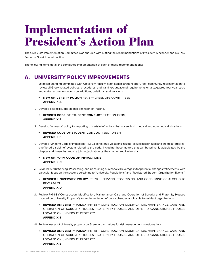## <span id="page-4-0"></span>Implementation of President's Action Plan

The Greek Life Implementation Committee was charged with putting the recommendations of President Alexander and his Task Force on Greek Life into action.

The following items detail the completed implementation of each of those recommendations:

## a. UNIVERSITY POLICY IMPROVEMENTS

- i. Establish standing committee with University (faculty, staff, administration) and Greek community representation to review all Greek-related policies, procedures, and training/educational requirements on a staggered four-year cycle and make recommendations on additions, deletions, and revisions.
	- **✓ NEW UNIVERSITY POLICY:** PS-76 GREEK LIFE COMMITTEES **APPENDIX A**
- ii. Develop a specific, operational definition of "hazing."
	- **✓ REVISED CODE OF STUDENT CONDUCT:** SECTION 10.2(M) **APPENDIX B**
- iii. Develop "amnesty" policy for reporting of certain infractions that covers both medical and non-medical situations.
	- **✓ REVISED CODE OF STUDENT CONDUCT:** SECTION 3.4 **APPENDIX B**
- iv. Develop "Uniform Code of Infractions" (e.g., alcohol/drug violations, hazing, sexual misconduct) and create a "progressive/tiered discipline" system related to the code, including those matters that can be primarily adjudicated by the chapter and those that require joint adjudication by the chapter and University.

#### **✓ NEW UNIFORM CODE OF INFRACTIONS APPENDIX C**

- v. Review PS-78 ("Serving, Possessing, and Consuming of Alcoholic Beverages") for potential changes/refinements, with particular focus on the sections pertaining to "University Regulations" and "Registered Student Organization Events."
	- **✓ REVISED UNIVERSITY POLICY:** PS-78 SERVING, POSSESSING, AND CONSUMING OF ALCOHOLIC BEVERAGES **APPENDIX D**
- vi. Review PM-68 ("Construction, Modification, Maintenance, Care and Operation of Sorority and Fraternity Houses Located on University Property") for implementation of policy changes applicable to resident organizations.
	- **✓ REVISED UNIVERSITY POLICY:** PM-68 CONSTRUCTION, MODIFICATION, MAINTENANCE, CARE, AND OPERATION OF SORORITY HOUSES, FRATERNITY HOUSES, AND OTHER ORGANIZATIONAL HOUSES LOCATED ON UNIVERSITY PROPERTY **APPENDIX E**
- vii. Review leases of University property by Greek organizations for risk management considerations.
	- **✓ REVISED UNIVERSITY POLICY:** PM-68 CONSTRUCTION, MODIFICATION, MAINTENANCE, CARE, AND OPERATION OF SORORITY HOUSES, FRATERNITY HOUSES, AND OTHER ORGANIZATIONAL HOUSES LOCATED ON UNIVERSITY PROPERTY **APPENDIX E**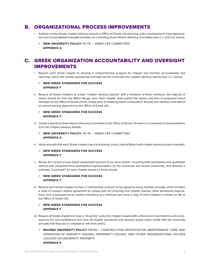### <span id="page-5-0"></span>b. ORGANIZATIONAL PROCESS IMPROVEMENTS

- i. Actively involve Greek chapter advisory boards in Office of Greek Life planning, policy development, training/education and accountability/oversight activities via a standing Greek Alumni Advisory Committee (see C.ii. and C.iii. below).
	- **✓ NEW UNIVERSITY POLICY:** PS-76 GREEK LIFE COMMITTEES **APPENDIX A**

## c. GREEK ORGANIZATION ACCOUNTABILITY AND OVERSIGHT IMPROVEMENTS

i. Require each Greek chapter to develop a comprehensive program for chapter and member accountability and reporting, which will include appropriate oversight by the University and chapter advisory boards (see C.ii. below).

#### **✓ NEW GREEK STANDARDS FOR SUCCESS APPENDIX F**

ii. Require all Greek chapters to create "chapter advisory boards" with a minimum of three members, the majority of whom should be from the Baton Rouge area. Each chapter shall submit the names and bios of proposed board members to the Office of Greek Life for review prior to finalizing board composition. At least one member shall attend an annual training approved by the Office of Greek Life.

#### **✓ NEW GREEK STANDARDS FOR SUCCESS APPENDIX F**

- iii. Create a standing Greek Alumni Advisory Committee to the Office of Greek Life which is comprised of representatives from the chapter advisory boards.
	- **NEW UNIVERSITY POLICY: PS-76 GREEK LIFE COMMITTEES APPENDIX A**
- iv. Verify annually that each Greek chapter has a functioning, active Judicial Board with chapter advisory board oversight.

#### **✓ NEW GREEK STANDARDS FOR SUCCESS APPENDIX F**

v. Revise the current annual Greek assessment process to be more holistic, including both quantitative and qualitative metrics and comprehensive participation/representation by the University and Greek community, and develop a summary "scorecard" for each chapter based on those results.

#### **✓ NEW GREEK STANDARDS FOR SUCCESS APPENDIX F**

vi. Require each Greek chapter to have a "membership contract" to be signed by every member annually, which includes a code of conduct, explicit agreement to comply with all University and chapter policies, other behavioral expectations, and consequences for related infractions at a minimum and have a copy of each chapter's contract on file at the Office of Greek Life.

#### **✓ NEW GREEK STANDARDS FOR SUCCESS APPENDIX F**

- vii. Require all Greek chapters to have a "drug-free" policy for chapter houses (with enforcement mechanisms and consequences for non-compliance) and have all chapter presidents and advisory board chairs certify with the University annually that they are in compliance with their policy.
	- **✓ REVISED UNIVERSITY POLICY:** PM-68 CONSTRUCTION, MODIFICATION, MAINTENANCE, CARE, AND OPERATION OF SORORITY HOUSES, FRATERNITY HOUSES, AND OTHER ORGANIZATIONAL HOUSES LOCATED ON UNIVERSITY PROPERTY **APPENDIX E**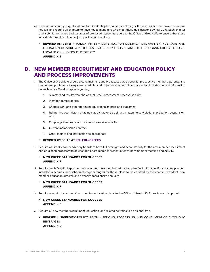- <span id="page-6-0"></span>viii. Develop minimum job qualifications for Greek chapter house directors (for those chapters that have on-campus houses) and require all chapters to have house managers who meet these qualifications by Fall 2019. Each chapter shall submit the names and resumes of proposed house managers to the Office of Greek Life to ensure that these individuals meet the minimum job qualifications set forth.
	- **✓ REVISED UNIVERSITY POLICY:** PM-68 CONSTRUCTION, MODIFICATION, MAINTENANCE, CARE, AND OPERATION OF SORORITY HOUSES, FRATERNITY HOUSES, AND OTHER ORGANIZATIONAL HOUSES LOCATED ON UNIVERSITY PROPERTY **APPENDIX E**

### d. NEW MEMBER RECRUITMENT AND EDUCATION POLICY AND PROCESS IMPROVEMENTS

- i. The Office of Greek Life should create, maintain, and broadcast a web portal for prospective members, parents, and the general public as a transparent, credible, and objective source of information that includes current information on each active Greek chapter regarding:
	- 1. Summarized results from the annual Greek assessment process (see C.v)
	- 2. Member demographics
	- 3. Chapter GPA and other pertinent educational metrics and outcomes
	- 4. Rolling five-year history of adjudicated chapter disciplinary matters (e.g., violations, probation, suspension, etc.)
	- 5. Chapter philanthropic and community service activities
	- 6. Current membership contract
	- 7. Other metrics and information as appropriate

#### **✓ REVISED WEBSITE AT [LSU.EDU/GREEKS](http://lsu.edu/greeks)**

ii. Require all Greek chapter advisory boards to have full oversight and accountability for the new member recruitment and education process with at least one board member present at each new member meeting and activity.

#### **✓ NEW GREEK STANDARDS FOR SUCCESS APPENDIX F**

iii. Require each Greek chapter to have a written new member education plan (including specific activities planned, intended outcomes, and schedule/program length) for those plans to be certified by the chapter president, new member education director, and advisory board chairs annually.

#### **✓ NEW GREEK STANDARDS FOR SUCCESS APPENDIX F**

iv. Require annual submission of new member education plans to the Office of Greek Life for review and approval.

#### **✓ NEW GREEK STANDARDS FOR SUCCESS APPENDIX F**

- v. Require all new member recruitment, education, and related activities to be alcohol-free.
	- **✓ REVISED UNIVERSITY POLICY:** PS-78 SERVING, POSSESSING, AND CONSUMING OF ALCOHOLIC BEVERAGES **APPENDIX D**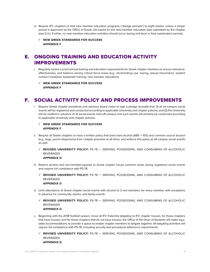- <span id="page-7-0"></span>vi. Require IFC chapters to limit new member education programs ("pledge periods") to eight weeks, unless a longer period is approved by the Office of Greek Life based on the new member education plan submitted by the chapter (see D.iii.). Further, no new member education activities should occur during mid-term or final examination periods.
	- **✓ NEW GREEK STANDARDS FOR SUCCESS APPENDIX F**

## e. ONGOING TRAINING AND EDUCATION ACTIVITY IMPROVEMENTS

- i. Regularly review current annual training and education requirements for Greek chapter members to ensure relevance, effectiveness, and balance among critical focus areas (e.g., alcohol/drug use, hazing, sexual misconduct, student conduct violations, bystander training, new member education).
	- **✓ NEW GREEK STANDARDS FOR SUCCESS APPENDIX F**

### f. SOCIAL ACTIVITY POLICY AND PROCESS IMPROVEMENTS

i. Require Greek chapter presidents and advisory board chairs to sign a pledge annually that: (1) all on-campus social events will be registered and conducted according to applicable University and chapter policies; and (2) the University will be notified in advance of all social events held off-campus and such events will similarly be conducted according to applicable University and chapter policies.

#### **✓ NEW GREEK STANDARDS FOR SUCCESS APPENDIX F**

- ii. Require all Greek chapters to have a written policy that bans hard alcohol (ABV > 15%) and common source alcohol (e.g., kegs, punch dispensers) from chapter premises at all times, and enforce this policy at off-campus social events as well.
	- **✓ REVISED UNIVERSITY POLICY:** PS-78 SERVING, POSSESSING, AND CONSUMING OF ALCOHOLIC BEVERAGES

#### **APPENDIX D**

- iii. Restrict alcohol and non-members/guests to Greek chapter house common areas during registered social events and require full compliance with PS-78.
	- **✓ REVISED UNIVERSITY POLICY:** PS-78 SERVING, POSSESSING, AND CONSUMING OF ALCOHOLIC BEVERAGES **APPENDIX D**
- iv. Limit attendance at Greek chapter social events with alcohol to 3 non-members for every member, with exceptions in advance for community, alumni, and family events.
	- **✓ REVISED UNIVERSITY POLICY:** PS-78 SERVING, POSSESSING, AND CONSUMING OF ALCOHOLIC BEVERAGES **APPENDIX D**
- v. Beginning with the 2018 football season, move all IFC fraternity tailgating to IFC chapter houses, for those chapters that have houses; and for those chapters that do not have houses, the Office of the Dean of Students will make equitable accommodations to provide a space to enable chapter members to tailgate together. All tailgating activities will require full compliance with PS-78, including security and procedural adherence requirements.
	- **✓ REVISED UNIVERSITY POLICY:** PS-78 SERVING, POSSESSING, AND CONSUMING OF ALCOHOLIC BEVERAGES **APPENDIX D**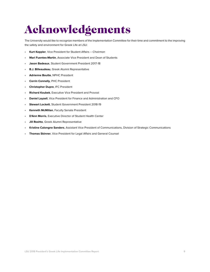# <span id="page-8-0"></span>Acknowledgements

The University would like to recognize members of the Implementation Committee for their time and commitment to the improving the safety and environment for Greek Life at LSU:

- **Kurt Keppler**, Vice President for Student Affairs *Chairman*
- **Mari Fuentes-Martin**, Associate Vice President and Dean of Students
- **Jason Badeaux**, Student Government President 2017-18
- **B.J. Billeaudeau**, Greek Alumni Representative
- **Adrienne Boutte**, NPHC President
- **Corrin Connelly**, PHC President
- **Christopher Dupre**, IFC President
- **Richard Koubek**, Executive Vice President and Provost
- **Daniel Layzell**, Vice President for Finance and Administration and CFO
- **Stewart Lockett**, Student Government President 2018-19
- **Kenneth McMillan**, Faculty Senate President
- **D'Ann Morris**, Executive Director of Student Health Center
- **Jill Roshto**, Greek Alumni Representative
- **Kristine Calongne Sanders**, Assistant Vice President of Communications, Division of Strategic Communications
- **Thomas Skinner**, Vice President for Legal Affairs and General Counsel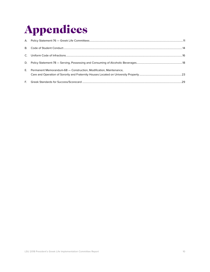# <span id="page-9-0"></span>**Appendices**

| E. | Permanent Memorandum-68 - Construction, Modification, Maintenance, |  |
|----|--------------------------------------------------------------------|--|
| E. |                                                                    |  |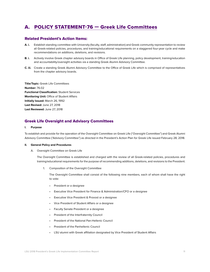## <span id="page-10-0"></span>a. [POLICY STATEMENT-76 — Greek Life Committees](https://sites01.lsu.edu/wp/policiesprocedures/policies-procedures/greek-life-oversight-and-advisory-committees/)

#### Related President's Action Items:

- **A. i.** Establish standing committee with University (faculty, staff, administration) and Greek community representation to review all Greek-related policies, procedures, and training/educational requirements on a staggered four-year cycle and make recommendations on additions, deletions, and revisions.
- **B. i.** Actively involve Greek chapter advisory boards in Office of Greek Life planning, policy development, training/education and accountability/oversight activities via a standing Greek Alumni Advisory Committee.
- **C. iii.** Create a standing Greek Alumni Advisory Committee to the Office of Greek Life which is comprised of representatives from the chapter advisory boards.

**Title/Topic:** Greek Life Committees **Number:** 76.02 **Functional Classification:** Student Services **Monitoring Unit:** Office of Student Affairs **Initially Issued:** March 26, 1992 **Last Revised:** June 27, 2018 **Last Reviewed:** June 27, 2018

#### Greek Life Oversight and Advisory Committees

#### **I. Purpose**

To establish and provide for the operation of the Oversight Committee on Greek Life ("Oversight Committee") and Greek Alumni Advisory Committee ("Advisory Committee") as directed in the President's Action Plan for Greek Life issued February 28, 2018.

#### **II. General Policy and Procedures**

A. Oversight Committee on Greek Life

The Oversight Committee is established and charged with the review of all Greek-related policies, procedures and training/educational requirements for the purpose of recommending additions, deletions, and revisions to the President.

1. Composition of the Oversight Committee

The Oversight Committee shall consist of the following nine members, each of whom shall have the right to vote:

- President or a designee
- Executive Vice President for Finance & Administration/CFO or a designee
- Executive Vice President & Provost or a designee
- Vice President of Student Affairs or a designee
- Faculty Senate President or a designee
- President of the Interfraternity Council
- President of the National Pan-Hellenic Council
- President of the Panhellenic Council
- LSU alumni with Greek affiliation designated by Vice President of Student Affairs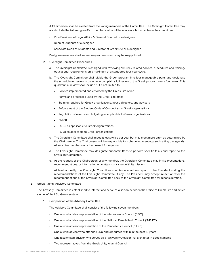A Chairperson shall be elected from the voting members of the Committee. The Oversight Committee may also include the following exofficio members, who will have a voice but no vote on the committee:

- Vice President of Legal Affairs & General Counsel or a designee
- Dean of Students or a designee
- Associate Dean of Students and Director of Greek Life or a designee

Designee members shall serve one-year terms and may be reappointed.

- 2. Oversight Committee Procedures
	- a. The Oversight Committee is charged with reviewing all Greek-related policies, procedures and training/ educational requirements on a maximum of a staggered four-year cycle.
	- b. The Oversight Committee shall divide the Greek program into four manageable parts and designate the schedule for review in order to accomplish a full review of the Greek program every four years. This quadrennial review shall include but it not limited to:
		- Policies implemented and enforced by the Greek Life office
		- Forms and processes used by the Greek Life office
		- Training required for Greek organizations, house directors, and advisors
		- Enforcement of the Student Code of Conduct as to Greek organizations
		- Regulation of events and tailgating as applicable to Greek organizations
		- PM 68
		- PS 52 as applicable to Greek organizations
		- PS 78 as applicable to Greek organizations
	- c. The Oversight Committee shall meet at least twice per year but may meet more often as determined by the Chairperson. The Chairperson will be responsible for scheduling meetings and setting the agenda. At least five members must be present for a quorum.
	- d. The Oversight Committee may designate subcommittees to perform specific tasks and report to the Oversight Committee.
	- e. At the request of the Chairperson or any member, the Oversight Committee may invite presentations, recommendations. or information on matters consistent with its mission.
	- f. At least annually, the Oversight Committee shall issue a written report to the President stating the recommendations of the Oversight Committee, if any. The President may accept, reject, or refer the recommendations of the Oversight Committee back to the Oversight Committee for reconsideration.
- B. Greek Alumni Advisory Committee

The Advisory Committee is established to interact and serve as a liaison between the Office of Greek Life and active alumni of the LSU Greek system.

1. Composition of the Advisory Committee

The Advisory Committee shall consist of the following seven members:

- One alumni advisor representative of the Interfraternity Council ("IFC")
- One alumni advisor representative of the National Pan-Hellenic Council ("NPHC")
- One alumni advisor representation of the Panhellenic Council ("PHC")
- One alumni advisor who attended LSU and graduated within in the past 10 years
- One faculty/staff advisor who serves as a "University Advisor" for a chapter in good standing
- Two representatives from the Greek Unity Alumni Council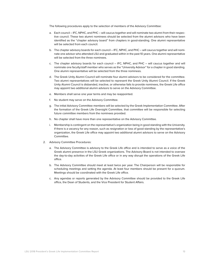The following procedures apply to the selection of members of the Advisory Committee:

- a. Each council IFC, NPHC, and PHC will caucus together and will nominate two alumni from their respective council. These two alumni nominees should be selected from the alumni advisors who have been identified as the "chapter advisory board" from chapters in good-standing. One alumni representative will be selected from each council.
- b. The chapter advisory boards for each council IFC, NPHC, and PHC will caucus together and will nominate one advisor who attended LSU and graduated within in the past 10 years. One alumni representative will be selected from the three nominees.
- c. The chapter advisory boards for each council IFC, NPHC, and PHC will caucus together and will nominate one faculty/staff member who serves as the "University Advisor" for a chapter in good standing. One alumni representative will be selected from the three nominees.
- d. The Greek Unity Alumni Council will nominate four alumni advisors to be considered for the committee. Two alumni representatives will be selected to represent the Greek Unity Alumni Council. If the Greek Unity Alumni Council is disbanded, inactive, or otherwise fails to provide nominees, the Greek Life office may appoint two additional alumni advisors to serve on the Advisory Committee.
- e. Members shall serve one year terms and may be reappointed.
- f. No student may serve on the Advisory Committee.
- g. The initial Advisory Committee members will be selected by the Greek Implementation Committee. After the formation of the Greek Life Oversight Committee, that committee will be responsible for selecting future committee members from the nominees provided.
- h. No chapter shall have more than one representative on the Advisory Committee.
- i. Membership is contingent on the representative's organization being in good standing with the University. If there is a vacancy for any reason, such as resignation or loss of good standing by the representative's organization, the Greek Life office may appoint two additional alumni advisors to serve on the Advisory Committee.
- 2. Advisory Committee Procedures:
	- a. The Advisory Committee is advisory to the Greek Life office and is intended to serve as a voice of the Greek alumni presence in the LSU Greek organizations. The Advisory Board is not intended to oversee the day-to-day activities of the Greek Life office or in any way disrupt the operations of the Greek Life office.
	- b. The Advisory Committee should meet at least twice per year. The Chairperson will be responsible for scheduling meetings and setting the agenda. At least four members should be present for a quorum. Meetings should be coordinated with the Greek Life office.
	- c. Any agendas or reports generated by the Advisory Committee should be provided to the Greek Life office, the Dean of Students, and the Vice President for Student Affairs.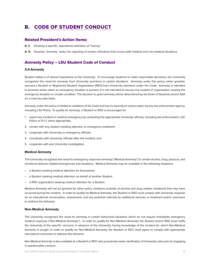## <span id="page-13-0"></span>b. [CODE OF STUDENT CONDUCT](https://www.lsu.edu/saa/students/codeofconduct.php)

#### Related President's Action Items:

- **A. ii.** Develop a specific, operational definition of "hazing."
- **A. iii.** Develop "amnesty" policy for reporting of certain infractions that covers both medical and non-medical situations.

#### Amnesty Policy – LSU Student Code of Conduct

#### **3.4 Amnesty**

Student safety is of utmost importance to the University. To encourage students to make responsible decisions, the University recognizes the need for amnesty from University sanctions in certain situations. Amnesty under this policy, when granted, excuses a Student or Registered Student Organization (RSO) from University sanctions under the Code. Amnesty is intended to promote action when an emergency situation is present. It is not intended to excuse any student or organization causing the emergency situation or unsafe condition. The decision to grant amnesty will be determined by the Dean of Students and/or SAA on a case-by-case basis.

Amnesty under this policy is limited to violations of the Code and has no bearing on actions taken by any law enforcement agency, including LSU Police. To qualify for amnesty, a Student or RSO is encouraged to:

- 1. report any incident or medical emergency by contacting the appropriate University officials, including law enforcement, LSU Police or 9-1-1, when appropriate,
- 2. remain with any student needing attention or emergency treatment,
- 3. cooperate with University or emergency officials,
- 4. coordinate with University officials after the incident, and
- 5. cooperate with any University investigation.

#### **Medical Amnesty**

The University recognizes the need for emergency response amnesty ("Medical Amnesty") in certain alcohol, drug, physical, and emotional distress related emergencies and situations. Medical Amnesty may be available in the following situations:

- a Student seeking medical attention for themselves
- a Student seeking medical attention on behalf of another Student
- a RSO organization seeking medical attention for a Student

Medical Amnesty will not be granted for other policy violations (outside of alcohol and drug related violations) that may have occurred during the incident. In order to qualify for Medical Amnesty, the Student or RSO must comply with University requests for an educational conversation, assessment, and any potential referrals for additional services or treatment and/or outcomes to address the behavior.

#### **Non-Medical Amnesty**

The University recognizes the need for amnesty in certain behavioral situations which do not require immediate emergency medical response ("Non-Medical Amnesty"). In order to qualify for Non-Medical Amnesty, the Student and/or RSO must notify the University of the specific concerns in advance of the University having knowledge of the incident for which Non-Medical Amnesty is sought. In order to qualify for Non-Medical Amnesty, the Student or RSO must agree to comply with appropriate educational outcomes to address the behavior.

Non-Medical Amnesty is also available to a Student or RSO who proactively seeks clarification of University rules prior to engaging in questionable conduct.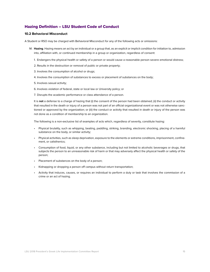#### Hazing Definition – LSU Student Code of Conduct

#### **10.2 Behavioral Misconduct**

A Student or RSO may be charged with Behavioral Misconduct for any of the following acts or omissions:

- M. **Hazing**. Hazing means an act by an individual or a group that, as an explicit or implicit condition for initiation to, admission into, affiliation with, or continued membership in a group or organization, regardless of consent:
	- 1. Endangers the physical health or safety of a person or would cause a reasonable person severe emotional distress;
	- 2. Results in the destruction or removal of public or private property;
	- 3. Involves the consumption of alcohol or drugs;
	- 4. Involves the consumption of substances to excess or placement of substances on the body;
	- 5. Involves sexual activity;
	- 6. Involves violation of federal, state or local law or University policy; or
	- 7. Disrupts the academic performance or class attendance of a person.

It is **not** a defense to a charge of hazing that (i) the consent of the person had been obtained; (ii) the conduct or activity that resulted in the death or injury of a person was not part of an official organizational event or was not otherwise sanctioned or approved by the organization; or (iii) the conduct or activity that resulted in death or injury of the person was not done as a condition of membership to an organization.

The following is a non-exclusive list of examples of acts which, regardless of severity, constitute hazing:

- Physical brutality, such as whipping, beating, paddling, striking, branding, electronic shocking, placing of a harmful substance on the body, or similar activity;
- Physical activities, such as sleep deprivation, exposure to the elements or extreme conditions, imprisonment, confinement, or calisthenics;
- Consumption of food, liquid, or any other substance, including but not limited to alcoholic beverages or drugs, that subjects the person to an unreasonable risk of harm or that may adversely affect the physical health or safety of the person;
- Placement of substances on the body of a person;
- Kidnapping or dropping a person off campus without return transportation;
- Activity that induces, causes, or requires an individual to perform a duty or task that involves the commission of a crime or an act of hazing.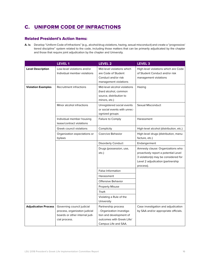## <span id="page-15-0"></span>c. [UNIFORM CODE OF INFRACTIONS](https://www.lsu.edu/saa/students/codeofconduct.php)

#### Related President's Action Items:

**A. iv.** Develop "Uniform Code of Infractions" (e.g., alcohol/drug violations, hazing, sexual misconduct) and create a "progressive/ tiered discipline" system related to the code, including those matters that can be primarily adjudicated by the chapter and those that require joint adjudication by the chapter and University.

| Low-level violations and/or<br>Mid-level violations which<br><b>Level Description</b><br>Individual member violations<br>are Code of Student<br>of Student Conduct and/or risk<br>Conduct and/or risk<br>management violations<br>management violations<br><b>Violation Examples</b><br>Recruitment infractions<br>Mid-level alcohol violations<br>Hazing<br>(hard alcohol, common<br>source, distribution to<br>minors, etc.)<br>Minor alcohol infractions<br>Sexual Misconduct<br>Unregistered social events<br>or social events with unrec-<br>ognized groups<br>Individual member housing<br>Failure to Comply<br>Harassment<br>lease/contract violations<br>Greek council violations<br>Complicity<br>Coercive Behavior<br>Organization expectations or<br>facture, etc.)<br>bylaws<br><b>Disorderly Conduct</b><br>Endangerment<br>Drugs (possession, use,<br>etc.)<br>process).<br><b>False Information</b><br>Harassment<br>Offensive Behavior<br><b>Property Misuse</b><br>Theft | <b>LEVEL1</b> | LEVEL <sub>2</sub>      | LEVEL <sub>3</sub>                                                                                                                                     |
|-------------------------------------------------------------------------------------------------------------------------------------------------------------------------------------------------------------------------------------------------------------------------------------------------------------------------------------------------------------------------------------------------------------------------------------------------------------------------------------------------------------------------------------------------------------------------------------------------------------------------------------------------------------------------------------------------------------------------------------------------------------------------------------------------------------------------------------------------------------------------------------------------------------------------------------------------------------------------------------------|---------------|-------------------------|--------------------------------------------------------------------------------------------------------------------------------------------------------|
|                                                                                                                                                                                                                                                                                                                                                                                                                                                                                                                                                                                                                                                                                                                                                                                                                                                                                                                                                                                           |               |                         | High-level violations which are Code                                                                                                                   |
|                                                                                                                                                                                                                                                                                                                                                                                                                                                                                                                                                                                                                                                                                                                                                                                                                                                                                                                                                                                           |               |                         |                                                                                                                                                        |
|                                                                                                                                                                                                                                                                                                                                                                                                                                                                                                                                                                                                                                                                                                                                                                                                                                                                                                                                                                                           |               |                         |                                                                                                                                                        |
|                                                                                                                                                                                                                                                                                                                                                                                                                                                                                                                                                                                                                                                                                                                                                                                                                                                                                                                                                                                           |               |                         |                                                                                                                                                        |
|                                                                                                                                                                                                                                                                                                                                                                                                                                                                                                                                                                                                                                                                                                                                                                                                                                                                                                                                                                                           |               |                         | High-level alcohol (distribution, etc.)                                                                                                                |
|                                                                                                                                                                                                                                                                                                                                                                                                                                                                                                                                                                                                                                                                                                                                                                                                                                                                                                                                                                                           |               |                         | High-level drugs (distribution, manu-                                                                                                                  |
|                                                                                                                                                                                                                                                                                                                                                                                                                                                                                                                                                                                                                                                                                                                                                                                                                                                                                                                                                                                           |               |                         |                                                                                                                                                        |
|                                                                                                                                                                                                                                                                                                                                                                                                                                                                                                                                                                                                                                                                                                                                                                                                                                                                                                                                                                                           |               |                         | Amnesty clause: Organizations who<br>proactively report a potential Level<br>3 violation(s) may be considered for<br>Level 2 adjudication (partnership |
|                                                                                                                                                                                                                                                                                                                                                                                                                                                                                                                                                                                                                                                                                                                                                                                                                                                                                                                                                                                           |               |                         |                                                                                                                                                        |
|                                                                                                                                                                                                                                                                                                                                                                                                                                                                                                                                                                                                                                                                                                                                                                                                                                                                                                                                                                                           |               |                         |                                                                                                                                                        |
|                                                                                                                                                                                                                                                                                                                                                                                                                                                                                                                                                                                                                                                                                                                                                                                                                                                                                                                                                                                           |               |                         |                                                                                                                                                        |
|                                                                                                                                                                                                                                                                                                                                                                                                                                                                                                                                                                                                                                                                                                                                                                                                                                                                                                                                                                                           |               |                         |                                                                                                                                                        |
|                                                                                                                                                                                                                                                                                                                                                                                                                                                                                                                                                                                                                                                                                                                                                                                                                                                                                                                                                                                           |               |                         |                                                                                                                                                        |
| University                                                                                                                                                                                                                                                                                                                                                                                                                                                                                                                                                                                                                                                                                                                                                                                                                                                                                                                                                                                |               | Violating a Rule of the |                                                                                                                                                        |
| <b>Adjudication Process</b><br>Governing council judicial<br>Partnership process<br>- Organization investiga-<br>process, organizaton judicial<br>boards or other internal judi-<br>tion and development of<br>outcomes with Greek Life/<br>cial process.<br>Campus Life and SAA.                                                                                                                                                                                                                                                                                                                                                                                                                                                                                                                                                                                                                                                                                                         |               |                         | Case investigation and adjudication<br>by SAA and/or appropriate officials.                                                                            |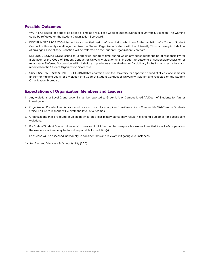#### Possible Outcomes

- WARNING: Issued for a specified period of time as a result of a Code of Student Conduct or University violation. The Warning could be reflected on the Student Organization Scorecard.
- DISCIPLINARY PROBATION: Issued for a specified period of time during which any further violation of a Code of Student Conduct or University violation jeopardizes the Student Organization's status with the University. This status may include loss of privileges. Disciplinary Probation will be reflected on the Student Organization Scorecard.
- DEFERRED SUSPENSION: Issued for a specified period of time during which any subsequent finding of responsibility for a violation of the Code of Student Conduct or University violation shall include the outcome of suspension/rescission of registration. Deferred Suspension will include loss of privileges as detailed under Disciplinary Probation with restrictions and reflected on the Student Organization Scorecard.
- SUSPENSION / RESCISSION OF REGISTRATION: Separation from the University for a specified period of at least one semester and/or for multiple years for a violation of a Code of Student Conduct or University violation and reflected on the Student Organization Scorecard.

#### Expectations of Organization Members and Leaders

- 1. Any violations of Level 2 and Level 3 must be reported to Greek Life or Campus Life/SAA/Dean of Students for further investigation.
- 2. Organization President and Advisor must respond promptly to inquiries from Greek Life or Campus Life/SAA/Dean of Students Office. Failure to respond will elevate the level of outcomes.
- 3. Organizations that are found in violation while on a disciplinary status may result in elevating outcomes for subsequent violations.
- 4. If a Code of Student Conduct violation(s) occurs and individual members responsible are not identified for lack of cooperation, the executive officers may be found responsible for violation(s).
- 5. Each case will be assessed individually to consider facts and relevant mitigating circumstances.

\* Note: Student Advocacy & Accountability (SAA)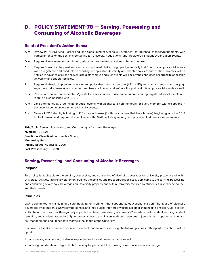## <span id="page-17-0"></span>D. POLICY STATEMENT-78 – Serving, Possessing and [Consuming of Alcoholic Beverages](https://sites01.lsu.edu/wp/policiesprocedures/policies-procedures/78/)

#### Related President's Action Items:

- **A. v.** Review PS-78 ("Serving, Possessing, and Consuming of Alcoholic Beverages") for potential changes/refinements, with particular focus on the sections pertaining to "University Regulations" and "Registered Student Organization Events."
- **D. v.** Require all new member recruitment, education, and related activities to be alcohol-free.
- **F. i.** Require Greek chapter presidents and advisory board chairs to sign pledge annually that: 1. all on-campus social events will be registered and conducted according to applicable University and chapter policies; and 2. the University will be notified in advance of all social events held off-campus and such events will similarly be conducted according to applicable University and chapter policies.
- **F. ii.** Require all Greek chapters to have a written policy that bans hard alcohol (ABV > 15%) and common source alcohol (e.g., kegs, punch dispensers) from chapter premises at all times, and enforce this policy at off-campus social events as well.
- **F. iii.** Restrict alcohol and non-members/guests to Greek chapter house common areas during registered social events and require full compliance with PS-78.
- **F. iv.** Limit attendance at Greek chapter social events with alcohol to 3 non-members for every member, with exceptions in advance for community, alumni, and family events.
- **F. v.** Move all IFC fraternity tailgating to IFC chapter houses (for those chapters that have houses) beginning with the 2018 football season and require full compliance with PS-78, including security and procedural adherence requirements.

**Title/Topic:** Serving, Possessing, and Consuming of Alcoholic Beverages **Number:** PS-78.06 **Functional Classification:** Health & Safety **Monitoring Unit: Initially Issued:** August 15, 2005 **Last Revised:** July 10, 2018

#### Serving, Possessing, and Consuming of Alcoholic Beverages

#### **Purpose**

This policy is applicable to the serving, possessing, and consuming of alcoholic beverages on University property and within University facilities. This Policy Statement outlines the policies and procedures specifically applicable to the serving, possessing, and consuming of alcoholic beverages on University property and within University facilities by students, University personnel, and their guests.

#### **Principles**

LSU is committed to maintaining a safe, healthful environment that supports its educational mission. The abuse of alcoholic beverages by its students, University personnel, and their guests interferes with the accomplishment of this mission. More specifically, the abuse of alcohol (1) negatively impacts the life and well-being of citizens; (2) interferes with student learning, student retention, and student graduation; (3) generates a cost to the University through personal injury, crimes, property damage, and risk management; and (4) negatively affects the image of the University.

Because LSU seeks to create a social environment that enhances learning, the following values with regard to alcohol must be upheld:

- 1. abstinence, as an option, is always supported and should never be discouraged;
- 2. although moderate and legal alcohol use may be permitted, the drinking of alcohol is never encouraged;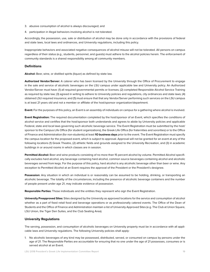- 3. abusive consumption of alcohol is always discouraged; and
- 4. participation in illegal behaviors involving alcohol is not tolerated.

Accordingly, the possession, use, sale or distribution of alcohol may be done only in accordance with the provisions of federal and state laws, local laws and ordinances, and University regulations, including this policy.

Inappropriate behaviors and associated negative consequences of alcohol misuse will not be tolerated. All persons on campus regardless of their status (e.g., students, personnel, and guests) must adhere to the alcohol policies herein. The enforcement of community standards is a shared responsibility among all community members.

#### **Definitions**

**Alcohol:** Beer, wine, or distilled spirits (liquor) as defined by state law.

**Authorized Vendor/Server:** A caterer who has been licensed by the University through the Office of Procurement to engage in the sale and service of alcoholic beverages on the LSU campus under applicable law and University policy. An Authorized Vendor/Server must have: (1) all required governmental permits or licenses; (2) completed Responsible Alcohol Service Training as required by state law; (3) agreed in writing to adhere to University policies and regulations, city ordinances and state laws; (4) obtained LSU required insurance; and (5) must ensure that that any Vendor/Server performing such services on the LSU campus is at least 21 years old and not a member or affiliate of the host/sponsor organization/department.

**Event:** For the purposes of this policy, an Event is an assembly of individuals on campus for a gathering where alcohol is involved.

**Event Registration:** The required documentation completed by the host/sponsor of an Event, which specifies the conditions of alcohol service and certifies that the host/sponsor both understands and agrees to abide by University policies and applicable Federal, state and local laws governing such alcoholic beverage service. The Event Registration must be submitted by the host/ sponsor to the Campus Life Office (for student organizations), the Greek Life Office (for fraternities and sororities) or to the Office of Finance and Administration (for non-students) at least **1O business days** prior to the event. The Event Registration must specify the campus location for the proposed event, which is subject to approval. Approval will not be granted for an event at any of the following locations (1) Greek Theatre, (2) athletic fields and grounds assigned to the University Recreation, and (3) in academic buildings in or around rooms in which classes are in session.

**Permitted Alcohol:** Beer and wine products consisting of no more than 15 percent alcohol by volume. Permitted Alcohol specifically excludes hard alcohol, any beverage containing hard alcohol, common source beverages containing alcohol and alcoholic beverages served from kegs. For the purpose of this policy, hard alcohol is any alcoholic beverage other than beer or wine. Any exception to Permitted Alcohol at an Event requires the approval of the President or the President's designee.

**Possession:** Any situation in which an individual is or reasonably can be assumed to be holding, drinking, or transporting an alcoholic beverage. The totality of the circumstances, including the presence of alcoholic beverage containers and the number of people present under age 21, may indicate evidence of possession.

**Responsible Parties:** Those individuals and the entities they represent who sign the Event Registration.

**University Preapproved Sites:** Sites designed by the University as approved locations for the service and consumption of alcohol whether as a part of fixed retail food and beverage operations or as professionally catered events. The Office of the Dean of Students and the Office of Finance and Administration maintain a list of University Approved Sites (e.g. The Club at Union Square, LSU Union, the Tiger Den Suites, and the Club Seating Area).

#### **University Regulations**

The serving, possession, and consumption of alcoholic beverages on University property must be in accordance with all applicable laws and University regulations. The following University policies shall apply:

1. No alcoholic beverages of any kind may be possessed, distributed, served, or consumed on campus by persons under the age of 21. The Responsible Parties are accountable for ensuring that no one under the age of 21 possesses, consumes or is served alcohol at an Event.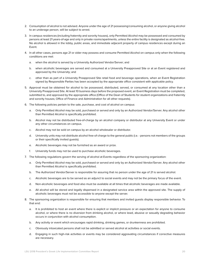- 2. Consumption of alcohol is not advised. Anyone under the age of 21 possessing/consuming alcohol, or anyone giving alcohol to an underage person, will be subject to arrest.
- 3. In campus residences (including fraternity and sorority houses), only Permitted Alcohol may be possessed and consumed by persons at least 21 years-of-age and only in private rooms/apartments, unless the entire facility is designated as alcohol-free. No alcohol is allowed in the lobby, public areas, and immediate adjacent property of campus residences except during an Event.
- 4. In all other cases, persons age 21 or older may possess and consume Permitted Alcohol on campus only when the following conditions are met:
	- a. when the alcohol is served by a University Authorized Vendor/Server; and
	- b. when alcoholic beverages are served and consumed at a University Preapproved Site or at an Event registered and approved by the University; and
	- c. other than as part of a University Preapproved Site retail food and beverage operations, when an Event Registration signed by Responsible Parties has been accepted by the appropriate office consistent with applicable policy.
- 5. Approval must be obtained for alcohol to be possessed, distributed, served, or consumed at any location other than a University Preapproved Site. At least 10 business days before the proposed event, an Event Registration must be completed, submitted to, and approved by the appropriate office (Office of the Dean of Students for student organizations and fraternity and sorority houses; Office of Finance and Administration for all other requests).
- 6. The following policies pertain to the sale, purchase, and cost of alcohol on campus:
	- a. Only Permitted Alcohol may be sold, purchased or served and only by an Authorized Vendor/Server. Any alcohol other than Permitted Alcohol is specifically prohibited.
	- b. Alcohol may not be distributed free-of-charge by an alcohol company or distributor at any University Event or under any other circumstances on campus.
	- c. Alcohol may not be sold on campus by an alcohol wholesaler or distributor.
	- d. University units may not distribute alcohol free-of-charge to the general public (i.e. persons not members of the groups or their specifically invited guests).
	- e. Alcoholic beverages may not be furnished as an award or prize.
	- f. University funds may not be used to purchase alcoholic beverages.
- 7. The following regulations govern the serving of alcohol at Events regardless of the sponsoring organization:
	- a. Only Permitted Alcohol may be sold, purchased or served and only by an Authorized Vendor/Server. Any alcohol other than Permitted Alcohol is specifically prohibited.
	- b. The Authorized Vendor/Server is responsible for assuring that no person under the age of 21 is served alcohol.
	- c. Alcoholic beverages are to be served as an adjunct to social events and may not be the primary focus of the event.
	- d. Non-alcoholic beverages and food also must be available at all times that alcoholic beverages are made available.
	- e. All alcohol will be stored and legally dispensed in a designated service area within the approved site. The supply of alcoholic beverages must not be accessible to anyone except the server.
- 8. The sponsoring organization is responsible for ensuring that members and invited guests display responsible behavior. To that end:
	- a. It is prohibited to host an event where there is explicit or implicit pressure or an expectation for anyone to consume alcohol, or where there is no diversion from drinking alcohol, or where lewd, abusive or sexually degrading behavior occurs in conjunction with alcohol consumption.
	- b. Any activity or event which encourages rapid drinking, drinking games, or drunkenness are prohibited.
	- c. Obviously intoxicated persons shall not be admitted or served alcohol at activities or social events.
	- d. Engaging in such high-risk activities or events may be considered aggravating circumstances if corrective measures are necessary.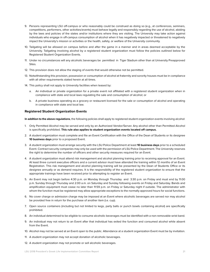- 9. Persons representing LSU off-campus or who reasonably could be construed as doing so (e.g., at conferences, seminars, competitions, performers, other activities/events) must behave legally and responsibly regarding the use of alcohol, abiding by the laws and policies of the states and/or institutions where they are visiting. The University may take action against individuals who engage in off-campus consumption of alcohol when it has negatively impacted or threatened to negatively impact the University's mission or activities or the health, safety, or welfare of the University community.
- 10. Tailgating will be allowed on campus before and after the game in a manner and in areas deemed acceptable by the University. Tailgating involving alcohol by a registered student organization must follow the policies outlined below for Registered Student Organization Events.
- 11. Under no circumstances will any alcoholic beverages be permitted in Tiger Stadium other than at University Preapproved Sites.
- 12. This provision does not allow the staging of events that would otherwise not be permitted.
- 13. Notwithstanding this provision, possession or consumption of alcohol at fraternity and sorority houses must be in compliance with all other requirements stated herein at all times.
- 14. This policy shall not apply to University facilities when leased by:
	- a. An individual or private organization for a private event not affiliated with a registered student organization when in compliance with state and local laws regulating the sale and consumption of alcohol; or
	- b. A private business operating as a grocery or restaurant licensed for the sale or consumption of alcohol and operating in compliance with state and local law.

#### **Registered Student Organization Events**

**In addition to the above regulations**, the following policies shall apply to registered student organization events involving alcohol:

- 1. Only Permitted Alcohol may be served and only by an Authorized Vendor/Server. Any alcohol other than Permitted Alcohol is specifically prohibited. **This rule also applies to student organization events located off campus.**
- 2. A student organization must complete and file an Event Certification with the Office of the Dean of Students or its designee **10 business days** prior to a proposed Event.
- 3. A student organization must arrange security with the LSU Police Department at least **10 business days** prior to a scheduled Event. Contract security companies may only be used with the permission of LSU Police Department. The University reserves the right to determine the number of officers and other security measures required for an Event.
- 4. A student organization must attend risk management and alcohol planning training prior to receiving approval for an Event. At least three current executive officers and a current advisor must have attended the training within 12 months of an Event Registration. This risk management and alcohol planning training will be presented by the Dean of Students Office or its designee annually or as demand requires. It is the responsibility of the registered student organization to ensure that the appropriate trainings have been received prior to attempting to register an Event.
- 5. An Event may not begin before 4:30 p.m. on Monday through Thursday and 3:30 p.m. on Friday and must end by 11:00 p.m. Sunday through Thursday and 2:00 a.m. on Saturday and Sunday following events on Friday and Saturday. Bands and amplification equipment must cease no later than 11:59 p.m. on Friday or Saturday night if outside. The administrator with whom the function must be registered may allow appropriate exceptions to the normally approved hours for social functions.
- 6. No cover charge or admission charge may be imposed at an Event where alcoholic beverages are served nor may alcohol be provided free in return for the purchase of another item (i.e. cup).
- 7. Open source containers (including but not limited to kegs, party balls or punch bowls containing alcohol) are specifically prohibited.
- 8. An individual determined to be eligible to consume alcoholic beverages must be identified with a non-removable wrist band.
- 9. An individual may not return to an Event after that individual has exited the function and consumed alcohol while absent from the Event.
- 10. Alcohol may not be served at an Event open to the public. Attendance at a student organization Event must be by invitation.
- 11. A student organization may not accept donation of alcoholic beverages.
- 12. A student organization may not promote or sell alcoholic beverages.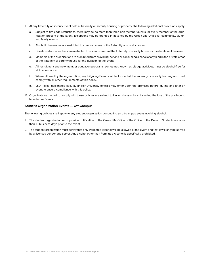- 13. At any fraternity or sorority Event held at fraternity or sorority housing or property, the following additional provisions apply:
	- a. Subject to fire code restrictions, there may be no more than three non-member guests for every member of the organization present at the Event. Exceptions may be granted in advance by the Greek Life Office for community, alumni and family events.
	- b. Alcoholic beverages are restricted to common areas of the fraternity or sorority house.
	- c. Guests and non-members are restricted to common areas of the fraternity or sorority house for the duration of the event.
	- d. Members of the organization are prohibited from providing, serving or consuming alcohol of any kind in the private areas of the fraternity or sorority house for the duration of the Event.
	- e. All recruitment and new member education programs, sometimes known as pledge activities, must be alcohol-free for all in attendance.
	- f. Where allowed by the organization, any tailgating Event shall be located at the fraternity or sorority housing and must comply with all other requirements of this policy.
	- g. LSU Police, designated security and/or University officials may enter upon the premises before, during and after an event to ensure compliance with this policy.
- 14. Organizations that fail to comply with these policies are subject to University sanctions, including the loss of the privilege to have future Events.

#### **Student Organization Events — Off-Campus**

The following policies shall apply to any student organization conducting an off-campus event involving alcohol:

- 1. The student organization must provide notification to the Greek Life Office of the Office of the Dean of Students no more than 10 business days prior to the event.
- 2. The student organization must certify that only Permitted Alcohol will be allowed at the event and that it will only be served by a licensed vendor and server. Any alcohol other than Permitted Alcohol is specifically prohibited.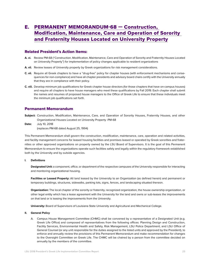### <span id="page-22-0"></span>e. [PERMANENT MEMORANDUM-68 — Construction,](http://www.lsu.edu/administration/policies/pmfiles/pm-68.pdf)  [Modification, Maintenance, Care and Operation of Sorority](http://www.lsu.edu/administration/policies/pmfiles/pm-68.pdf)  [and Fraternity Houses Located on University Property](http://www.lsu.edu/administration/policies/pmfiles/pm-68.pdf)

#### Related President's Action Items:

- **A. vi.** Review PM-68 ("Construction, Modification, Maintenance, Care and Operation of Sorority and Fraternity Houses Located on University Property") for implementation of policy changes applicable to resident organizations
- A. vii. Review leases of University property by Greek organizations for risk management considerations.
- **C. vii.** Require all Greek chapters to have a "drug-free" policy for chapter houses (with enforcement mechanisms and consequences for non-compliance) and have all chapter presidents and advisory board chairs certify with the University annually that they are in compliance with their policy.
- **C. viii.** Develop minimum job qualifications for Greek chapter house directors (for those chapters that have on-campus houses) and require all chapters to have house managers who meet these qualifications by Fall 2019. Each chapter shall submit the names and resumes of proposed house managers to the Office of Greek Life to ensure that these individuals meet the minimum job qualifications set forth.

#### Permanent Memorandum

- **Subject:** Construction, Modification, Maintenance, Care, and Operation of Sorority Houses, Fraternity Houses, and other Organizational Houses Located on University Property -PM-68
- **Date:** July 10, 2018 (replaces PM-68 dated August 25, 1994)

This Permanent Memorandum shall govern the construction, modification, maintenance, care, operation and related activities, and facility management concerns for leased housing facilities and premises leased or operated by Greek sororities and fraternities or other approved organizations on property owned by the LSU Board of Supervisors. It is the goal of this Permanent Memorandum to ensure the organizations operate such facilities safely and legally within the regulatory framework established both by the University and by outside agencies.

#### **I. Definitions**

**Designated Unit:** a component, office, or department of the respective campuses of the University responsible for interacting and monitoring organizational housing.

**Facilities or Leased Property:** All land leased by the University to an Organization (as defined herein) and permanent or temporary buildings, structures, sidewalks, parking lots, signs, fences, and landscaping situated thereon.

**Organization:** The local chapter of the sorority or fraternity, recognized organization, the house ownership organization, or other legal entity which has a lease agreement with the University for the land and owns or sub-leases the improvements on that land or is leasing the improvements from the University.

**University:** Board of Supervisors of Louisiana State University and Agricultural and Mechanical College.

#### **II. General Policy**

A. Campus House Management Committee (CHMC) shall be convened by a representative of a Designated Unit (e.g. Greek Life Office) and composed of representatives from the following offices: Planning Design and Construction, Facility Services, Environmental Health and Safety, Risk Management, LSU Police Department, and LSU Office of General Counsel (or any unit responsible for the duties assigned to the listed units and approved by the President), to enforce and annually review the provisions of this Permanent Memorandum and make recommendation for changes to the Oversight Committee on Greek Life. The CHMC will be chaired by a person from the committee decided on annually by the members of the committee.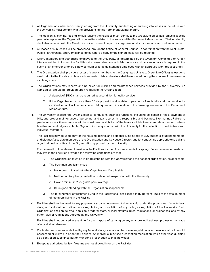- B. All Organizations, whether currently leasing from the University, sub-leasing or entering into leases in the future with the University, must comply with the provisions of this Permanent Memorandum.
- C. The legal entity owning, leasing, or sub-leasing the Facilities must identify to the Greek Life office at all times a specific person to represent the Organization on matters related to the lease and this Permanent Memorandum. That legal entity shall also maintain with the Greek Life office a current copy of its organizational structure, officers, and membership.
- D. All leases or sub-leases will be processed through the Office of General Counsel in coordination with the Real Estate, Public Partnerships, and Compliance office where a copy of the signed lease will be retained.
- E. CHMC members and authorized employees of the University, as determined by the Oversight Committee on Greek Life, are entitled to inspect the Facilities at a reasonable time with 24-hour notice. No advance notice is required in the event of an emergency or life safety concern or for a maintenance employee with an approved work request/order.
- F. The Organization shall provide a roster of current members to the Designated Unit (e.g. Greek Life Office) at least one week prior to the first day of class each semester. Lists and rosters shall be updated during the course of the semester as changes occur.
- G. The Organizations may receive and be billed for utilities and maintenance services provided by the University. An itemized bill should be provided upon request of the Organization.
	- 1. A deposit of \$500 shall be required as a condition for utility service.
	- 2. If the Organization is more than 30 days past the due date in payment of such bills and has received a certified letter, it will be considered delinquent and in violation of the lease agreement and this Permanent Memorandum.
- H. The University expects the Organization to conduct its business functions, including collection of fees, payment of bills, and proper maintenance of personnel and tax records, in a responsible and business-like manner. Failure to pay invoices in a timely manner will be considered a violation of the lease and this Permanent Memorandum. Where feasible and mutually acceptable, Organizations may contract with the University for the collection of certain fees from individual members.
- I. The Facilities may be used only for the housing, dining, and personal living needs of LSU students, student members, and pledges/associate members of the Organization and its House Director, and for conducting appropriate social and organizational activities of the Organization approved by the University.
- J. Freshmen will not be allowed to reside in the Facilities for their first semester (fall or spring). Second-semester freshman may live in the Facilities provided the following conditions are met:
	- 1. The Organization must be in good standing with the University and the national organization, as applicable.
	- 2. The freshman applicant must:
		- a. Have been initiated into the Organization, if applicable
		- b. Not be on disciplinary probation or deferred suspension with the University.
		- c. Have a minimum 2.25 grade point average.
		- d. Be in good standing with the Organization, if applicable.
	- 3. The total number of freshmen living in the Facility shall not exceed thirty percent (30%) of the total number of members living in the Facility.
- K. Facilities shall not be used for any purpose or activity determined to be unlawful under the provisions of any federal, state, or local statute, ordinance, or regulation, or in violation of any policy or regulation of the University. Each Organization shall abide by all applicable federal, state, or local statutes, rules, regulations, or ordinances, and by any other rules or regulations adopted by the University.
- L. Facilities shall not be used at any time for the purpose of carrying on any unapproved business, profession, or trade of any kind whatsoever.
- M. Controlled substances as defined by any federal, state, or local statute, or rule, regulation, or ordinance shall not be sold, possessed or utilized in or on the Facilities. An individual may use prescription medication which otherwise qualified as a controlled substance but only under a prescription to that individual.
- N. Except as authorized by law, firearms are not allowed in or on the Facilities.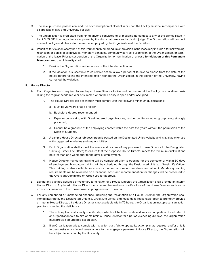- O. The sale, purchase, possession, and use or consumption of alcohol in or upon the Facility must be in compliance with all applicable laws and University policies.
- P. The Organization is prohibited from hiring anyone convicted of or pleading no contest to any of the crimes listed in La. R.S. 15:587.1 barring advance approval by the district attorney and a district judge. The Organization will conduct criminal background checks for personnel employed by the Organization at the Facilities.
- Q. Penalties for violation of any part of this Permanent Memorandum or provision in the lease may include a formal warning, restriction or denial of all activities, monetary penalties, community service, suspension of the Organization, or termination of the lease. Prior to suspension of the Organization or termination of a lease **for violation of this Permanent Memorandum**, the University shall:
	- 1. Provide the Organization written notice of the intended action and,
	- 2. If the violation is susceptible to corrective action, allow a period of 14 days to elapse from the date of the notice before taking the intended action without the Organization, in the opinion of the University, having corrected the violation.

#### **III. House Director**

- A. Each Organization is required to employ a House Director to live and be present at the Facility on a full-time basis during the regular academic year or summer, when the Facility is open and/or occupied.
	- 1. The House Director job description must comply with the following minimum qualifications:
		- a. Must be 25 years of age or older;
		- b. Bachelor's degree recommended;
		- c. Experience working with Greek-lettered organizations, residence life, or other group living strongly preferred;
		- d. Cannot be a graduate of the employing chapter within the past five years without the permission of the Dean of Students.
	- 2. A sample House Director job description is posted on the Designated Unit's website and is available for use with suggested job duties and responsibilities.
	- 3. Each Organization shall submit the name and resume of any proposed House Director to the Designated Unit (e.g. Greek Life Office) to ensure that the proposed House Director meets the minimum qualifications no later than one week prior to the offer of employment.
	- 4. House Director mandatory training will be completed prior to opening for the semester or within 30 days of employment. Mandatory training will be scheduled through the Designated Unit (e.g. Greek Life Office). This training is also available for advisors, house corporation members, and alumni. Mandatory training requirements will be reviewed on a bi-annual basis and recommendation for changes will be presented to the Oversight Committee on Greek Life for approval.
- B. During any planned absence or voluntary termination of a House Director, the Organization shall provide an interim House Director. Any interim House Director must meet the minimum qualifications of the House Director and can be an advisor, member of the house ownership organization, or alumni.
- C. For any unplanned or unexpected absence, including the resignation of a House Director, the Organization shall immediately notify the Designated Unit (e.g. Greek Life Office) and must make reasonable effort to promptly provide an interim House Director. If a House Director is not available within 72 hours, the Organization must present an action plan for correcting the deficiency.
	- 1. The action plan must specify specific steps which will be taken and deadlines for completion of each step. If an Organization fails to hire or maintain a House Director for a period exceeding 30 days, the Organization must provide an updated action plan.
	- 2. If an Organization fails to comply with its action plan, fails to update its action plan as required, and/or or fails to demonstrate continued reasonable effort to engage a permanent House Director, the Organization will be subject to sanction by the University.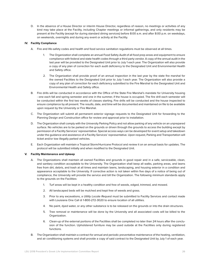D. In the absence of a House Director or interim House Director, regardless of reason, no meetings or activities of any kind may take place at the Facility, including Chapter meetings or informal gatherings, and only residents may be present at the Facility (except for during standard dining services) before 8:00 a.m. and after 8:00 p.m. on weekdays, on weekends, overnights and during any event or activity at the Facility.

#### **IV. Facility Compliance**

- A. Fire and life-safety codes and health and food service sanitation regulations must be observed at all times.
	- 1. The Organization shall complete an annual Food Safety Audit of all food prep areas and equipment to ensure compliance with federal and state health codes through a third party vendor. A copy of the annual audit in the last year will be provided to the Designated Unit prior to July 1 each year. The Organization will also provide a copy of any plan of correction for each audit deficiency to the Designated Unit and Environmental Health and Safety office.
	- 2. The Organization shall provide proof of an annual inspection in the last year by the state fire marshal for the owned Facilities to the Designated Unit prior to July 1 each year. The Organization will also provide a copy of any plan of correction for each deficiency submitted to the Fire Marshal to the Designated Unit and Environmental Health and Safety office.
- B. Fire drills will be conducted in accordance with the Office of the State Fire Marshal's mandate for University housing - one each fall and spring semester and one in the summer, if the house is occupied. The fire drill each semester will be conducted within the first two weeks of classes starting. Fire drills will be conducted and the house inspected to ensure compliance by all present. The results, date, and time will be documented and maintained on file to be available upon request by the University or Fire Marshal.
- C. The Organization will submit all permanent exterior signage requests to the Designated Unit for forwarding to the Planning Design and Construction office for review and approval prior to installation.
- D. The Organization shall comply with the University Parking Policy and not allow parking of any vehicle on an unprepared surface. No vehicles are to be parked on the grounds or driven through the grounds to access the building except by permission of a Facility Services' representative. Special access ways can be developed for event setup and takedown under the guidance and assistance of a Facility Services' representative. Upon request, Parking and Transportation will ticket and/or tow illegally parked vehicles.
- E. Each Organization will maintain a Tropical Storm/Hurricane Protocol and review it on an annual basis for updates. The protocol will be submitted initially and when modified to the Designated Unit.

#### **V. Facility Maintenance and Upkeep**

- A. The Organizations shall maintain all owned Facilities and grounds in good repair and in a safe, serviceable, clean, and sanitary condition acceptable to the University. The Organization shall keep all walks, parking areas, and lawns free from dirt, debris, and trash at all times and maintain lawns, landscaping, and housing exterior in a condition and appearance acceptable to the University. If corrective action is not taken within five days of a notice of being out of compliance, the University will provide the service and bill the Organization. The following minimum standards apply to the grounds on the Facilities:
	- 1. Turf areas will be kept in a healthy condition and free of weeds, edged, trimmed, and mowed.
	- 2. All landscaped beds will be mulched and kept free of weeds and grass.
	- 3. Prior to any excavations, a *Utility Locate Request* must be submitted to Facility Services and contact made with Louisiana One Call @ 1-800-272-3020 to ensure location of all utilities.
	- 4. No paint, dyed water, or any other substance is to be released on the grounds or into the drain structures.
	- 5. Tree removal or maintenance will be done by the University and all associated costs will be billed to the Organization.
	- 6. Clean-up of the external portions of the Facilities shall be completed no later than 24 hours after the conclusion of the function. Upholstered furniture may be used outside at the Facilities only during registered functions.
- B. The Organization shall maintain a contract for annual and periodic preventative maintenance of the heating, ventilation, and air conditioning systems and shall provide a copy of said contract to the Designated Unit by July 1 of each year.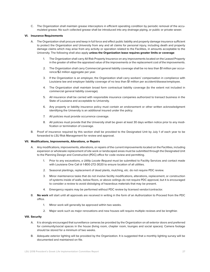C. The Organization shall maintain grease interceptors in efficient operating condition by periodic removal of the accumulated grease. No such collected grease shall be introduced into any drainage piping, or public or private sewer.

#### **VI. Insurance Requirements**

- A. The Organization shall procure and keep in full force and effect public liability and property damage insurance sufficient to protect the Organization and University from any and all claims for personal injury, including death and property damage claims which may arise from any activity or operation related to the Facilities, in amounts acceptable to the University. The following shall also apply **unless the Organization lease requires greater limits or coverage**:
	- 1. The Organization shall carry All Risk Property Insurance on any improvements located on the Leased Property in the greater of either the appraised value of the improvements or the replacement cost of the improvements.
	- 2. The Organization shall carry Commercial general liability coverage shall be no less than \$1 million per occurrence/\$2 million aggregate per year.
	- 3. If the Organization is an employer, the Organization shall carry workers' compensation in compliance with Louisiana law and employer liability coverage of no less than \$1 million per accident/disease/employee.
	- 4. The Organization shall maintain broad form contractual liability coverage (to the extent not included in commercial general liability coverage).
	- 5. All insurance shall be carried with responsible insurance companies authorized to transact business in the State of Louisiana and acceptable to University.
	- 6. Any property or liability insurance policy must contain an endorsement or other written acknowledgment identifying the University is an additional insured under the policy.
	- 7. All policies must provide occurrence coverage.
	- 8. All policies must provide that the University shall be given at least 30 days written notice prior to any modification or termination of coverage.
- B. Proof of insurance required by this section shall be provided to the Designated Unit by July 1 of each year to be forwarded to LSU Risk Management for review and approval.

#### **VII. Modifications, Improvements, Alterations, or Repairs**

- A. Any modifications, improvements, alterations, or repairs of the current improvements located on the Facilities, including expansion or wholesale replacement of site work or landscaped areas must be submitted through the Designated Unit to the Planning Design and Construction (PDC) office for code review and permitting.
	- 1. Prior to any excavations, a *Utility Locate Request* must be submitted to Facility Services and contact made with Louisiana One Call @ 1-800-272-3020 to ensure location of all utilities.
	- 2. Seasonal plantings, replacement of dead plants, mulching, etc. do not require PDC review.
	- 3. Minor maintenance tasks that do not involve facility modifications, alterations, replacement, or construction of systems inside of walls, below floors, or above ceilings do not require PDC approval, but it is encouraged to consider a review to avoid dislodging of hazardous materials that may be present.
	- 4. Emergency repairs may be performed without PDC review by licensed vendor/contractor.
- B. **No work** will start until all approvals are received in writing in the form of an Authorization to Proceed from the PDC office.
	- 1. Minor work will generally be approved within two weeks.
	- 2. Major work such as major renovations and new houses will require multiple reviews and be lengthier.

#### **VIII. Security**

- A. It is strongly encouraged that surveillance cameras be provided by the Organization on all exterior doors and preferred for community/social spaces in the house (living room, chapter room, lounges and social spaces). Camera footage should be stored for a minimum of two weeks.
- B. Adequate exterior lighting will be provided by the Organization. It is suggested that a monthly lighting survey will be documented and maintained on file.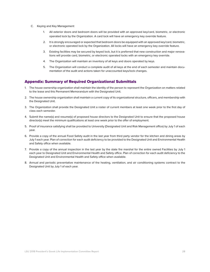- C. Keying and Key Management
	- 1. All exterior doors and bedroom doors will be provided with an approved key/card, biometric, or electronic operated lock by the Organization. A card lock will have an emergency key override feature.
	- 2. It is strongly encouraged or expected that bedroom doors be equipped with an approved key/card, biometric, or electronic operated lock by the Organization. All locks will have an emergency key override feature.
	- 3. Existing facilities may be secured by keyed lock, but it is preferred that new construction and major renovations will provide card, biometric, or electronic operated locks with an emergency key override.
	- 4. The Organization will maintain an inventory of all keys and doors operated by keys.
	- 5. The Organization will conduct a complete audit of all keys at the end of each semester and maintain documentation of the audit and actions taken for unaccounted keys/lock changes.

#### Appendix: Summary of Required Organizational Submittals

- 1. The house ownership organization shall maintain the identity of the person to represent the Organization on matters related to the lease and this Permanent Memorandum with the Designated Unit.
- 2. The house ownership organization shall maintain a current copy of its organizational structure, officers, and membership with the Designated Unit.
- 3. The Organization shall provide the Designated Unit a roster of current members at least one week prior to the first day of class each semester.
- 4. Submit the name(s) and resume(s) of proposed house directors to the Designated Unit to ensure that the proposed house director(s) meet the minimum qualifications at least one week prior to the offer of employment.
- 5. Proof of insurance satisfying shall be provided to University (Designated Unit and Risk Management office) by July 1 of each year.
- 6. Provide a copy of the annual Food Safety audit in the last year from third party vendor for the kitchen and dining areas by July 1 each year. Plan of correction for each audit deficiency to be provided to the Designated Unit and Environmental Health and Safety office when available.
- 7. Provide a copy of the annual inspection in the last year by the state fire marshal for the entire owned Facilities by July 1 each year to Designated Unit and Environmental Health and Safety office. Plan of correction for each audit deficiency to the Designated Unit and Environmental Health and Safety office when available.
- 8. Annual and periodic preventative maintenance of the heating, ventilation, and air conditioning systems contract to the Designated Unit by July 1 of each year.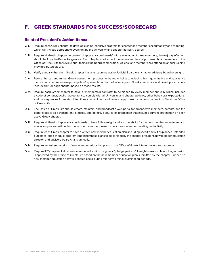## <span id="page-28-0"></span>f. [GREEK STANDARDS FOR SUCCESS/SCORECARD](http://lsu.edu/greeks/scorecard)

#### Related President's Action Items:

- **C. i.** Require each Greek chapter to develop a comprehensive program for chapter and member accountability and reporting, which will include appropriate oversight by the University and chapter advisory boards
- **C. ii.** Require all Greek chapters to create "chapter advisory boards" with a minimum of three members, the majority of whom should be from the Baton Rouge area. Each chapter shall submit the names and bios of proposed board members to the Office of Greek Life for review prior to finalizing board composition. At least one member shall attend an annual training provided by Greek Life.
- **C. iv.** Verify annually that each Greek chapter has a functioning, active Judicial Board with chapter advisory board oversight.
- **C. v.** Revise the current annual Greek assessment process to be more holistic, including both quantitative and qualitative metrics and comprehensive participation/representation by the University and Greek community, and develop a summary "scorecard" for each chapter based on those results.
- **C. vi.** Require each Greek chapter to have a "membership contract" to be signed by every member annually which includes a code of conduct, explicit agreement to comply with all University and chapter policies, other behavioral expectations, and consequences for related infractions at a minimum and have a copy of each chapter's contract on file at the Office of Greek Life.
- **D. i.** The Office of Greek Life should create, maintain, and broadcast a web portal for prospective members, parents, and the general public as a transparent, credible, and objective source of information that includes current information on each active Greek chapter.
- **D. ii.** Require all Greek chapter advisory boards to have full oversight and accountability for the new member recruitment and education process with at least one board member present at each new member meeting and activity.
- **D. iii.** Require each Greek chapter to have a written new member education plan (including specific activities planned, intended outcomes, and schedule/program length) for those plans to be certified by the chapter president, new member education director, and advisory board chairs annually.
- **D. iv.** Require annual submission of new member education plans to the Office of Greek Life for review and approval.
- **D. vi.** Require IFC chapters to limit new member education programs ("pledge periods") to eight weeks, unless a longer period is approved by the Office of Greek Life based on the new member education plan submitted by the chapter. Further, no new member education activities should occur during mid-term or final examination periods.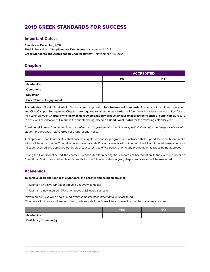## 2019 GREEK STANDARDS FOR SUCCESS

#### Important Dates:

**Effective** — December, 2018 **Final Submission of Supplemental Documents** – November 1, 2019 **Greek Standards and Accreditation Chapter Review** – November 4-15, 2019

#### Chapter:

|                                | <b>ACCREDITED</b> |    |
|--------------------------------|-------------------|----|
|                                | Yes               | No |
| <b>Academics</b>               |                   |    |
| <b>Operations</b>              |                   |    |
| <b>Education</b>               |                   |    |
| <b>Civic/Campus Engagement</b> |                   |    |

**Accreditation:** Greek Standards for Success are comprised of **four (4) areas of Standards**: Academics, Operations, Education, and Civic/Campus Engagement. Chapters are required to meet the standards in all four areas in order to be accredited for the next calendar year. **Chapters who fail to achieve Accreditation will have 30 days to address deficiencies (if applicable).** Failure to achieve Accreditation will result in the chapter being placed on **Conditional Status** for the following calendar year.

**Conditional Status:** Conditional Status is defined as *"registered with the University with limited rights and responsibilities of a student organization."* (2019 Greek Life Operational Policy)

A chapter on Conditional Status shall only be eligible to sponsor programs and activities that support the recruitment/intake efforts of the organization. Thus, all other on-campus and off-campus events will not be permitted. Recruitment/Intake paperwork must be received and approved by Greek Life, according to office policy, prior to any programs or activities being approved.

During this Conditional period, the chapter is responsible for meeting the standards of Accreditation. In the event a chapter on Conditional Status does not achieve Accreditation the following calendar year, chapter registration will be rescinded.

#### **Academics**

#### **To achieve accreditation for this Standard, the chapter and its members shall:**

- Maintain an active GPA at or above a 2.5 every semester
- Maintain a new member GPA at or above a 2.5 every semester

\*New member GPA will be calculated every semester Recruitment/Intake is facilitated.

\*Chapters will receive midterm and final grade reports from Greek Life to assess the chapter's academic success.

|                               | <b>YES</b> | <b>NO</b> |
|-------------------------------|------------|-----------|
| <b>Academics</b>              |            |           |
| <b>Deficiency Comment(s):</b> |            |           |
|                               |            |           |
|                               |            |           |
|                               |            |           |
|                               |            |           |
|                               |            |           |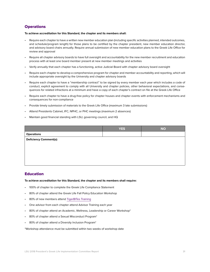#### **Operations**

#### **To achieve accreditation for this Standard, the chapter and its members shall:**

- Require each chapter to have a written new member education plan (including specific activities planned, intended outcomes, and schedule/program length) for those plans to be certified by the chapter president, new member education director, and advisory board chairs annually. Require annual submission of new member education plans to the Greek Life Office for review and approval
- Require all chapter advisory boards to have full oversight and accountability for the new member recruitment and education process with at least one board member present at new member meetings and activities
- Verify annually that each chapter has a functioning, active Judicial Board with chapter advisory board oversight
- Require each chapter to develop a comprehensive program for chapter and member accountability and reporting, which will include appropriate oversight by the University and chapter advisory boards
- Require each chapter to have a "membership contract" to be signed by every member each year which includes a code of conduct, explicit agreement to comply with all University and chapter policies, other behavioral expectations, and consequences for related infractions at a minimum and have a copy of each chapter's contract on file at the Greek Life Office
- Require each chapter to have a drug-free policy for chapter houses and chapter events with enforcement mechanisms and consequences for non-compliance
- Provide timely submission of materials to the Greek Life Office (maximum 3 late submissions)
- Attend Presidents Cabinet, IFC, NPHC, or PHC meetings (maximum 2 absences)
- Maintain good financial standing with LSU, governing council, and HQ

|                               | <b>YES</b> | <b>NO</b> |
|-------------------------------|------------|-----------|
| <b>Operations</b>             |            |           |
| <b>Deficiency Comment(s):</b> |            |           |
|                               |            |           |
|                               |            |           |
|                               |            |           |
|                               |            |           |
|                               |            |           |

#### Education

#### **To achieve accreditation for this Standard, the chapter and its members shall require:**

- 100% of chapter to complete the Greek Life Compliance Statement
- 80% of chapter attend the Greek Life Fall Policy Education Workshop
- 80% of new members attend [TigerBITes Training](https://www.lsu.edu/shc/wellness/tiger-bites.php)
- One advisor from each chapter attend Advisor Training each year
- 80% of chapter attend an Academic, Wellness, Leadership or Career Workshop\*
- 80% of chapter attend a Sexual Misconduct Program\*
- 80% of chapter attend a Diversity lnclusion Program\*

\*Workshop attendance must be submitted within two weeks of workshop date